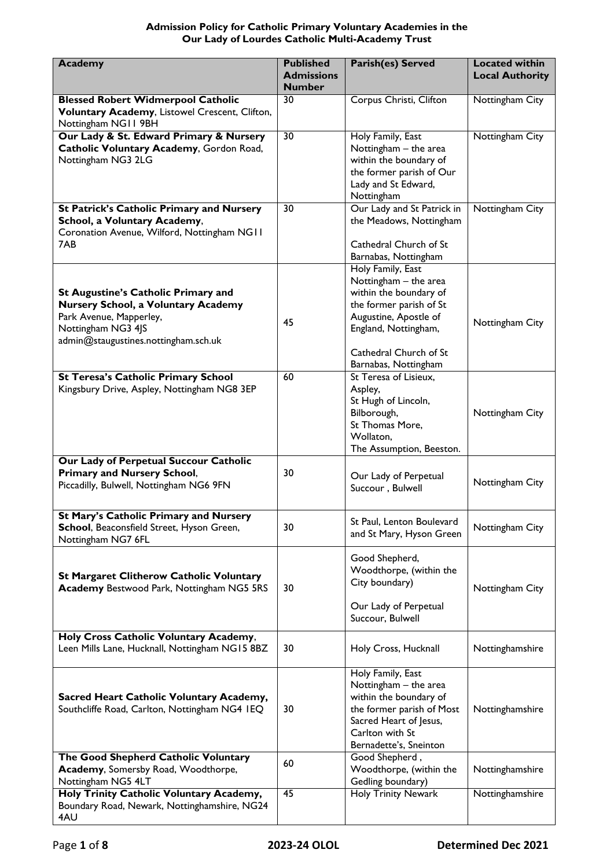# **Admission Policy for Catholic Primary Voluntary Academies in the Our Lady of Lourdes Catholic Multi-Academy Trust**

| <b>Academy</b>                                                                                                                                                                    | <b>Published</b><br><b>Admissions</b><br><b>Number</b> | <b>Parish(es) Served</b>                                                                                                                                                                           | <b>Located within</b><br><b>Local Authority</b> |
|-----------------------------------------------------------------------------------------------------------------------------------------------------------------------------------|--------------------------------------------------------|----------------------------------------------------------------------------------------------------------------------------------------------------------------------------------------------------|-------------------------------------------------|
| <b>Blessed Robert Widmerpool Catholic</b><br>Voluntary Academy, Listowel Crescent, Clifton,<br>Nottingham NG11 9BH                                                                | 30                                                     | Corpus Christi, Clifton                                                                                                                                                                            | Nottingham City                                 |
| Our Lady & St. Edward Primary & Nursery<br>Catholic Voluntary Academy, Gordon Road,<br>Nottingham NG3 2LG                                                                         | $\overline{30}$                                        | Holy Family, East<br>Nottingham - the area<br>within the boundary of<br>the former parish of Our<br>Lady and St Edward,<br>Nottingham                                                              | Nottingham City                                 |
| <b>St Patrick's Catholic Primary and Nursery</b><br>School, a Voluntary Academy,<br>Coronation Avenue, Wilford, Nottingham NG11<br>7AB                                            | $\overline{30}$                                        | Our Lady and St Patrick in<br>the Meadows, Nottingham<br>Cathedral Church of St<br>Barnabas, Nottingham                                                                                            | Nottingham City                                 |
| <b>St Augustine's Catholic Primary and</b><br><b>Nursery School, a Voluntary Academy</b><br>Park Avenue, Mapperley,<br>Nottingham NG3 4JS<br>admin@staugustines.nottingham.sch.uk | 45                                                     | Holy Family, East<br>Nottingham - the area<br>within the boundary of<br>the former parish of St<br>Augustine, Apostle of<br>England, Nottingham,<br>Cathedral Church of St<br>Barnabas, Nottingham | Nottingham City                                 |
| <b>St Teresa's Catholic Primary School</b><br>Kingsbury Drive, Aspley, Nottingham NG8 3EP                                                                                         | 60                                                     | St Teresa of Lisieux,<br>Aspley,<br>St Hugh of Lincoln,<br>Bilborough,<br>St Thomas More,<br>Wollaton,<br>The Assumption, Beeston.                                                                 | Nottingham City                                 |
| Our Lady of Perpetual Succour Catholic<br><b>Primary and Nursery School,</b><br>Piccadilly, Bulwell, Nottingham NG6 9FN                                                           | 30                                                     | Our Lady of Perpetual<br>Succour, Bulwell                                                                                                                                                          | Nottingham City                                 |
| St Mary's Catholic Primary and Nursery<br>School, Beaconsfield Street, Hyson Green,<br>Nottingham NG7 6FL                                                                         | 30                                                     | St Paul, Lenton Boulevard<br>and St Mary, Hyson Green                                                                                                                                              | Nottingham City                                 |
| <b>St Margaret Clitherow Catholic Voluntary</b><br><b>Academy Bestwood Park, Nottingham NG5 5RS</b>                                                                               | 30                                                     | Good Shepherd,<br>Woodthorpe, (within the<br>City boundary)<br>Our Lady of Perpetual<br>Succour, Bulwell                                                                                           | Nottingham City                                 |
| Holy Cross Catholic Voluntary Academy,<br>Leen Mills Lane, Hucknall, Nottingham NG15 8BZ                                                                                          | 30                                                     | Holy Cross, Hucknall                                                                                                                                                                               | Nottinghamshire                                 |
| Sacred Heart Catholic Voluntary Academy,<br>Southcliffe Road, Carlton, Nottingham NG4 IEQ                                                                                         | 30                                                     | Holy Family, East<br>Nottingham - the area<br>within the boundary of<br>the former parish of Most<br>Sacred Heart of Jesus,<br>Carlton with St<br>Bernadette's, Sneinton                           | Nottinghamshire                                 |
| The Good Shepherd Catholic Voluntary<br>Academy, Somersby Road, Woodthorpe,<br>Nottingham NG5 4LT                                                                                 | 60                                                     | Good Shepherd,<br>Woodthorpe, (within the<br>Gedling boundary)                                                                                                                                     | Nottinghamshire                                 |
| Holy Trinity Catholic Voluntary Academy,<br>Boundary Road, Newark, Nottinghamshire, NG24<br>4AU                                                                                   | $\overline{45}$                                        | <b>Holy Trinity Newark</b>                                                                                                                                                                         | Nottinghamshire                                 |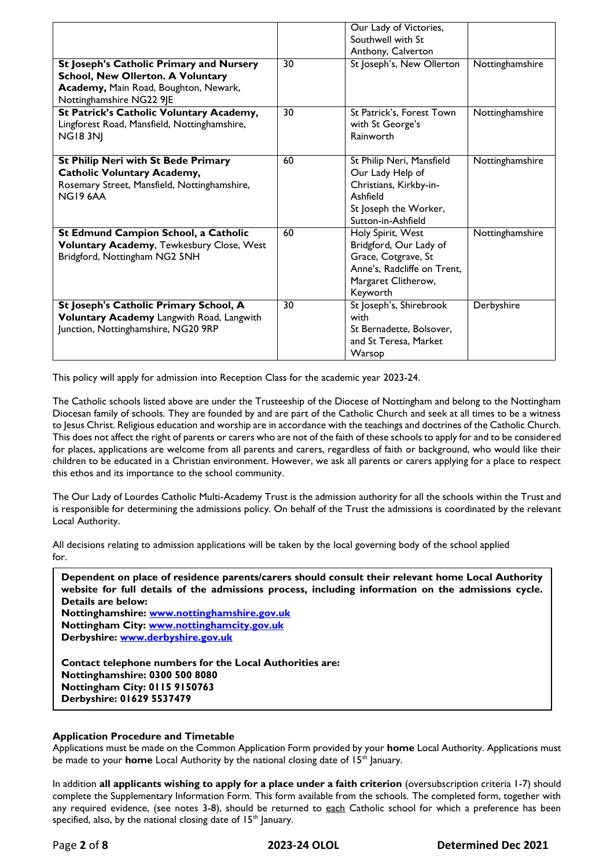|                                                                                                                                                           |    | Our Lady of Victories,<br>Southwell with St<br>Anthony, Calverton                                                                    |                 |
|-----------------------------------------------------------------------------------------------------------------------------------------------------------|----|--------------------------------------------------------------------------------------------------------------------------------------|-----------------|
| St Joseph's Catholic Primary and Nursery<br><b>School, New Ollerton. A Voluntary</b><br>Academy, Main Road, Boughton, Newark,<br>Nottinghamshire NG22 9JE | 30 | St Joseph's, New Ollerton                                                                                                            | Nottinghamshire |
| St Patrick's Catholic Voluntary Academy,<br>Lingforest Road, Mansfield, Nottinghamshire,<br><b>NG183NI</b>                                                | 30 | St Patrick's, Forest Town<br>with St George's<br>Rainworth                                                                           | Nottinghamshire |
| St Philip Neri with St Bede Primary<br><b>Catholic Voluntary Academy,</b><br>Rosemary Street, Mansfield, Nottinghamshire,<br><b>NG19 6AA</b>              | 60 | St Philip Neri, Mansfield<br>Our Lady Help of<br>Christians, Kirkby-in-<br>Ashfield<br>St Joseph the Worker,<br>Sutton-in-Ashfield   | Nottinghamshire |
| St Edmund Campion School, a Catholic<br>Voluntary Academy, Tewkesbury Close, West<br>Bridgford, Nottingham NG2 5NH                                        | 60 | Holy Spirit, West<br>Bridgford, Our Lady of<br>Grace, Cotgrave, St<br>Anne's, Radcliffe on Trent,<br>Margaret Clitherow,<br>Keyworth | Nottinghamshire |
| St Joseph's Catholic Primary School, A<br>Voluntary Academy Langwith Road, Langwith<br>Junction, Nottinghamshire, NG20 9RP                                | 30 | St Joseph's, Shirebrook<br>with<br>St Bernadette, Bolsover,<br>and St Teresa, Market<br>Warsop                                       | Derbyshire      |

This policy will apply for admission into Reception Class for the academic year 2023-24.

The Catholic schools listed above are under the Trusteeship of the Diocese of Nottingham and belong to the Nottingham Diocesan family of schools. They are founded by and are part of the Catholic Church and seek at all times to be a witness to Jesus Christ. Religious education and worship are in accordance with the teachings and doctrines of the Catholic Church. This does not affect the right of parents or carers who are not of the faith of these schools to apply for and to be considered for places, applications are welcome from all parents and carers, regardless of faith or background, who would like their children to be educated in a Christian environment. However, we ask all parents or carers applying for a place to respect this ethos and its importance to the school community.

The Our Lady of Lourdes Catholic Multi-Academy Trust is the admission authority for all the schools within the Trust and is responsible for determining the admissions policy. On behalf of the Trust the admissions is coordinated by the relevant Local Authority.

All decisions relating to admission applications will be taken by the local governing body of the school applied for.

| Dependent on place of residence parents/carers should consult their relevant home Local Authority<br>website for full details of the admissions process, including information on the admissions cycle.<br>Details are below: |
|-------------------------------------------------------------------------------------------------------------------------------------------------------------------------------------------------------------------------------|
|                                                                                                                                                                                                                               |
| Nottinghamshire: www.nottinghamshire.gov.uk                                                                                                                                                                                   |
| Nottingham City: www.nottinghamcity.gov.uk                                                                                                                                                                                    |
| Derbyshire: www.derbyshire.gov.uk                                                                                                                                                                                             |
| Contact telephone numbers for the Local Authorities are:                                                                                                                                                                      |
|                                                                                                                                                                                                                               |
| <b>Nottinghamshire: 0300 500 8080</b>                                                                                                                                                                                         |
| Nottingham City: 0115 9150763                                                                                                                                                                                                 |

# **Application Procedure and Timetable**

**Derbyshire: 01629 5537479**

Applications must be made on the Common Application Form provided by your **home** Local Authority. Applications must be made to your **home** Local Authority by the national closing date of 15<sup>th</sup> January.

In addition **all applicants wishing to apply for a place under a faith criterion** (oversubscription criteria 1-7) should complete the Supplementary Information Form. This form available from the schools. The completed form, together with any required evidence, (see notes 3-8), should be returned to each Catholic school for which a preference has been specified, also, by the national closing date of 15<sup>th</sup> January.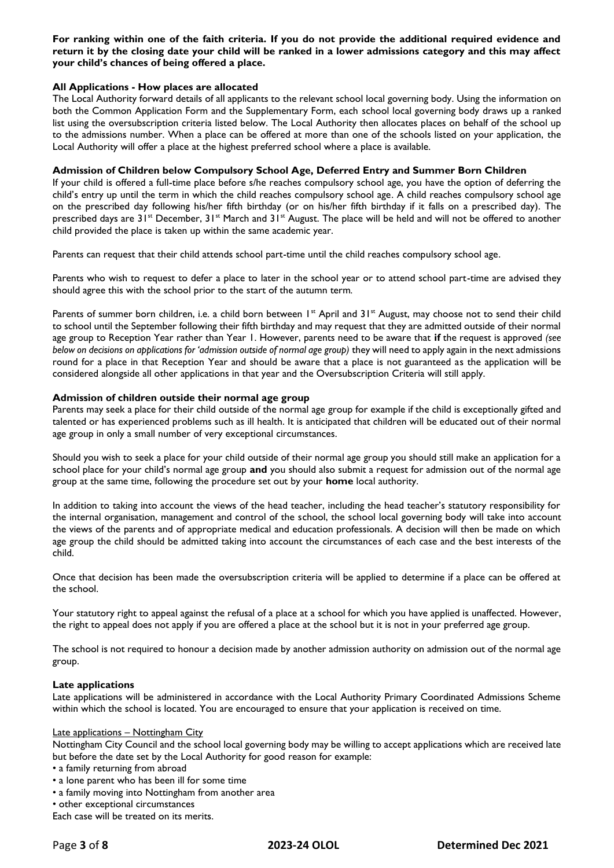**For ranking within one of the faith criteria. If you do not provide the additional required evidence and return it by the closing date your child will be ranked in a lower admissions category and this may affect your child's chances of being offered a place.**

### **All Applications - How places are allocated**

The Local Authority forward details of all applicants to the relevant school local governing body. Using the information on both the Common Application Form and the Supplementary Form, each school local governing body draws up a ranked list using the oversubscription criteria listed below. The Local Authority then allocates places on behalf of the school up to the admissions number. When a place can be offered at more than one of the schools listed on your application, the Local Authority will offer a place at the highest preferred school where a place is available.

### **Admission of Children below Compulsory School Age, Deferred Entry and Summer Born Children**

If your child is offered a full-time place before s/he reaches compulsory school age, you have the option of deferring the child's entry up until the term in which the child reaches compulsory school age. A child reaches compulsory school age on the prescribed day following his/her fifth birthday (or on his/her fifth birthday if it falls on a prescribed day). The prescribed days are 31<sup>st</sup> December, 31<sup>st</sup> March and 31<sup>st</sup> August. The place will be held and will not be offered to another child provided the place is taken up within the same academic year.

Parents can request that their child attends school part-time until the child reaches compulsory school age.

Parents who wish to request to defer a place to later in the school year or to attend school part-time are advised they should agree this with the school prior to the start of the autumn term*.*

Parents of summer born children, i.e. a child born between 1<sup>st</sup> April and 31<sup>st</sup> August, may choose not to send their child to school until the September following their fifth birthday and may request that they are admitted outside of their normal age group to Reception Year rather than Year 1. However, parents need to be aware that **if** the request is approved *(see below on decisions on applications for 'admission outside of normal age group*) they will need to apply again in the next admissions round for a place in that Reception Year and should be aware that a place is not guaranteed as the application will be considered alongside all other applications in that year and the Oversubscription Criteria will still apply.

#### **Admission of children outside their normal age group**

Parents may seek a place for their child outside of the normal age group for example if the child is exceptionally gifted and talented or has experienced problems such as ill health. It is anticipated that children will be educated out of their normal age group in only a small number of very exceptional circumstances.

Should you wish to seek a place for your child outside of their normal age group you should still make an application for a school place for your child's normal age group **and** you should also submit a request for admission out of the normal age group at the same time, following the procedure set out by your **home** local authority.

In addition to taking into account the views of the head teacher, including the head teacher's statutory responsibility for the internal organisation, management and control of the school, the school local governing body will take into account the views of the parents and of appropriate medical and education professionals. A decision will then be made on which age group the child should be admitted taking into account the circumstances of each case and the best interests of the child.

Once that decision has been made the oversubscription criteria will be applied to determine if a place can be offered at the school.

Your statutory right to appeal against the refusal of a place at a school for which you have applied is unaffected. However, the right to appeal does not apply if you are offered a place at the school but it is not in your preferred age group.

The school is not required to honour a decision made by another admission authority on admission out of the normal age group.

#### **Late applications**

Late applications will be administered in accordance with the Local Authority Primary Coordinated Admissions Scheme within which the school is located. You are encouraged to ensure that your application is received on time.

#### Late applications – Nottingham City

Nottingham City Council and the school local governing body may be willing to accept applications which are received late but before the date set by the Local Authority for good reason for example:

- a family returning from abroad
- a lone parent who has been ill for some time
- a family moving into Nottingham from another area
- other exceptional circumstances

Each case will be treated on its merits.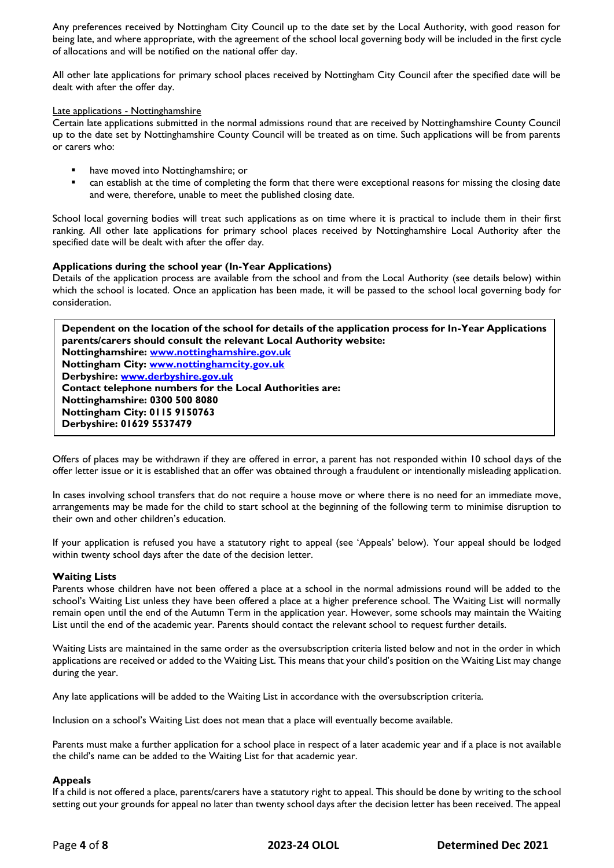Any preferences received by Nottingham City Council up to the date set by the Local Authority, with good reason for being late, and where appropriate, with the agreement of the school local governing body will be included in the first cycle of allocations and will be notified on the national offer day.

All other late applications for primary school places received by Nottingham City Council after the specified date will be dealt with after the offer day.

### Late applications - Nottinghamshire

Certain late applications submitted in the normal admissions round that are received by Nottinghamshire County Council up to the date set by Nottinghamshire County Council will be treated as on time. Such applications will be from parents or carers who:

- **•** have moved into Nottinghamshire; or
- can establish at the time of completing the form that there were exceptional reasons for missing the closing date and were, therefore, unable to meet the published closing date.

School local governing bodies will treat such applications as on time where it is practical to include them in their first ranking. All other late applications for primary school places received by Nottinghamshire Local Authority after the specified date will be dealt with after the offer day.

# **Applications during the school year (In-Year Applications)**

Details of the application process are available from the school and from the Local Authority (see details below) within which the school is located. Once an application has been made, it will be passed to the school local governing body for consideration.

**Dependent on the location of the school for details of the application process for In-Year Applications parents/carers should consult the relevant Local Authority website: Nottinghamshire: [www.nottinghamshire.gov.uk](http://www.nottinghamshire.gov.uk/) Nottingham City: [www.nottinghamcity.gov.uk](http://www.nottinghamcity.gov.uk/) Derbyshire: [www.derbyshire.gov.uk](http://www.derbyshire.gov.uk/) Contact telephone numbers for the Local Authorities are: Nottinghamshire: 0300 500 8080 Nottingham City: 0115 9150763 Derbyshire: 01629 5537479**

Offers of places may be withdrawn if they are offered in error, a parent has not responded within 10 school days of the offer letter issue or it is established that an offer was obtained through a fraudulent or intentionally misleading application.

In cases involving school transfers that do not require a house move or where there is no need for an immediate move, arrangements may be made for the child to start school at the beginning of the following term to minimise disruption to their own and other children's education.

If your application is refused you have a statutory right to appeal (see 'Appeals' below). Your appeal should be lodged within twenty school days after the date of the decision letter.

# **Waiting Lists**

Parents whose children have not been offered a place at a school in the normal admissions round will be added to the school's Waiting List unless they have been offered a place at a higher preference school. The Waiting List will normally remain open until the end of the Autumn Term in the application year. However, some schools may maintain the Waiting List until the end of the academic year. Parents should contact the relevant school to request further details.

Waiting Lists are maintained in the same order as the oversubscription criteria listed below and not in the order in which applications are received or added to the Waiting List. This means that your child's position on the Waiting List may change during the year.

Any late applications will be added to the Waiting List in accordance with the oversubscription criteria.

Inclusion on a school's Waiting List does not mean that a place will eventually become available.

Parents must make a further application for a school place in respect of a later academic year and if a place is not available the child's name can be added to the Waiting List for that academic year.

# **Appeals**

If a child is not offered a place, parents/carers have a statutory right to appeal. This should be done by writing to the school setting out your grounds for appeal no later than twenty school days after the decision letter has been received. The appeal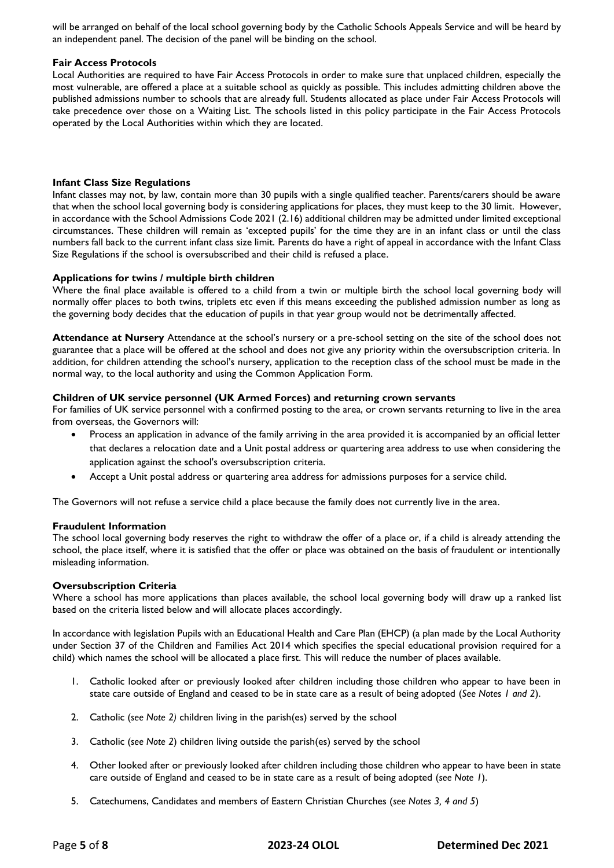will be arranged on behalf of the local school governing body by the Catholic Schools Appeals Service and will be heard by an independent panel. The decision of the panel will be binding on the school.

# **Fair Access Protocols**

Local Authorities are required to have Fair Access Protocols in order to make sure that unplaced children, especially the most vulnerable, are offered a place at a suitable school as quickly as possible. This includes admitting children above the published admissions number to schools that are already full. Students allocated as place under Fair Access Protocols will take precedence over those on a Waiting List. The schools listed in this policy participate in the Fair Access Protocols operated by the Local Authorities within which they are located.

# **Infant Class Size Regulations**

Infant classes may not, by law, contain more than 30 pupils with a single qualified teacher. Parents/carers should be aware that when the school local governing body is considering applications for places, they must keep to the 30 limit. However, in accordance with the School Admissions Code 2021 (2.16) additional children may be admitted under limited exceptional circumstances. These children will remain as 'excepted pupils' for the time they are in an infant class or until the class numbers fall back to the current infant class size limit. Parents do have a right of appeal in accordance with the Infant Class Size Regulations if the school is oversubscribed and their child is refused a place.

# **Applications for twins / multiple birth children**

Where the final place available is offered to a child from a twin or multiple birth the school local governing body will normally offer places to both twins, triplets etc even if this means exceeding the published admission number as long as the governing body decides that the education of pupils in that year group would not be detrimentally affected.

**Attendance at Nursery** Attendance at the school's nursery or a pre-school setting on the site of the school does not guarantee that a place will be offered at the school and does not give any priority within the oversubscription criteria. In addition, for children attending the school's nursery, application to the reception class of the school must be made in the normal way, to the local authority and using the Common Application Form.

# **Children of UK service personnel (UK Armed Forces) and returning crown servants**

For families of UK service personnel with a confirmed posting to the area, or crown servants returning to live in the area from overseas, the Governors will:

- Process an application in advance of the family arriving in the area provided it is accompanied by an official letter that declares a relocation date and a Unit postal address or quartering area address to use when considering the application against the school's oversubscription criteria.
- Accept a Unit postal address or quartering area address for admissions purposes for a service child.

The Governors will not refuse a service child a place because the family does not currently live in the area.

# **Fraudulent Information**

The school local governing body reserves the right to withdraw the offer of a place or, if a child is already attending the school, the place itself, where it is satisfied that the offer or place was obtained on the basis of fraudulent or intentionally misleading information.

# **Oversubscription Criteria**

Where a school has more applications than places available, the school local governing body will draw up a ranked list based on the criteria listed below and will allocate places accordingly.

In accordance with legislation Pupils with an Educational Health and Care Plan (EHCP) (a plan made by the Local Authority under Section 37 of the Children and Families Act 2014 which specifies the special educational provision required for a child) which names the school will be allocated a place first. This will reduce the number of places available.

- 1. Catholic looked after or previously looked after children including those children who appear to have been in state care outside of England and ceased to be in state care as a result of being adopted (*See Notes 1 and 2*).
- 2. Catholic (*see Note 2)* children living in the parish(es) served by the school
- 3. Catholic (*see Note 2*) children living outside the parish(es) served by the school
- 4. Other looked after or previously looked after children including those children who appear to have been in state care outside of England and ceased to be in state care as a result of being adopted (*see Note 1*).
- 5. Catechumens, Candidates and members of Eastern Christian Churches (*see Notes 3, 4 and 5*)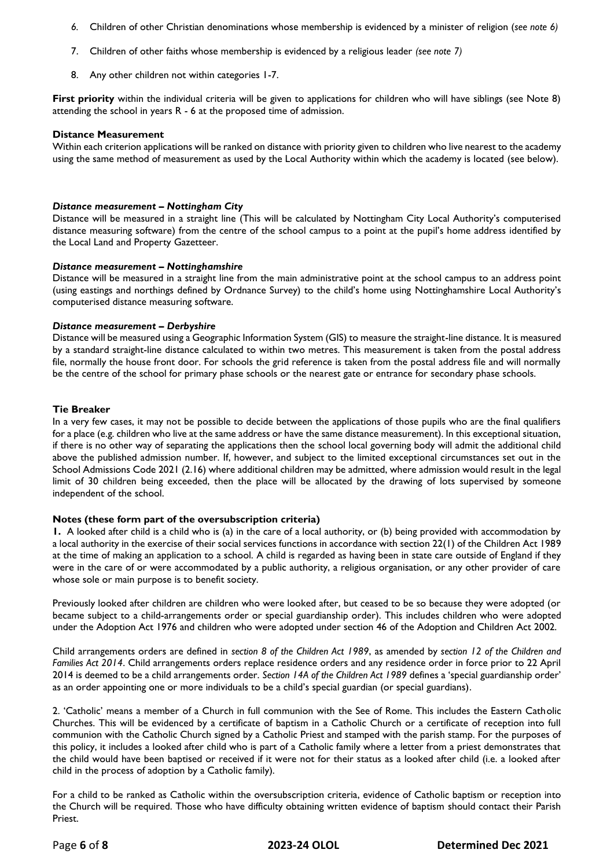- *6.* Children of other Christian denominations whose membership is evidenced by a minister of religion (*see note 6)*
- 7. Children of other faiths whose membership is evidenced by a religious leader *(see note 7)*
- 8. Any other children not within categories 1-7.

**First priority** within the individual criteria will be given to applications for children who will have siblings (see Note 8) attending the school in years R - 6 at the proposed time of admission.

### **Distance Measurement**

Within each criterion applications will be ranked on distance with priority given to children who live nearest to the academy using the same method of measurement as used by the Local Authority within which the academy is located (see below).

# *Distance measurement – Nottingham City*

Distance will be measured in a straight line (This will be calculated by Nottingham City Local Authority's computerised distance measuring software) from the centre of the school campus to a point at the pupil's home address identified by the Local Land and Property Gazetteer.

### *Distance measurement – Nottinghamshire*

Distance will be measured in a straight line from the main administrative point at the school campus to an address point (using eastings and northings defined by Ordnance Survey) to the child's home using Nottinghamshire Local Authority's computerised distance measuring software.

#### *Distance measurement – Derbyshire*

Distance will be measured using a Geographic Information System (GIS) to measure the straight-line distance. It is measured by a standard straight-line distance calculated to within two metres. This measurement is taken from the postal address file, normally the house front door. For schools the grid reference is taken from the postal address file and will normally be the centre of the school for primary phase schools or the nearest gate or entrance for secondary phase schools.

### **Tie Breaker**

In a very few cases, it may not be possible to decide between the applications of those pupils who are the final qualifiers for a place (e.g. children who live at the same address or have the same distance measurement). In this exceptional situation, if there is no other way of separating the applications then the school local governing body will admit the additional child above the published admission number. If, however, and subject to the limited exceptional circumstances set out in the School Admissions Code 2021 (2.16) where additional children may be admitted, where admission would result in the legal limit of 30 children being exceeded, then the place will be allocated by the drawing of lots supervised by someone independent of the school.

# **Notes (these form part of the oversubscription criteria)**

**1.** A looked after child is a child who is (a) in the care of a local authority, or (b) being provided with accommodation by a local authority in the exercise of their social services functions in accordance with section 22(1) of the Children Act 1989 at the time of making an application to a school. A child is regarded as having been in state care outside of England if they were in the care of or were accommodated by a public authority, a religious organisation, or any other provider of care whose sole or main purpose is to benefit society.

Previously looked after children are children who were looked after, but ceased to be so because they were adopted (or became subject to a child-arrangements order or special guardianship order). This includes children who were adopted under the Adoption Act 1976 and children who were adopted under section 46 of the Adoption and Children Act 2002.

Child arrangements orders are defined in *section 8 of the Children Act 1989*, as amended by *section 12 of the Children and Families Act 2014*. Child arrangements orders replace residence orders and any residence order in force prior to 22 April 2014 is deemed to be a child arrangements order. *Section 14A of the Children Act 1989* defines a 'special guardianship order' as an order appointing one or more individuals to be a child's special guardian (or special guardians).

2. 'Catholic' means a member of a Church in full communion with the See of Rome. This includes the Eastern Catholic Churches. This will be evidenced by a certificate of baptism in a Catholic Church or a certificate of reception into full communion with the Catholic Church signed by a Catholic Priest and stamped with the parish stamp. For the purposes of this policy, it includes a looked after child who is part of a Catholic family where a letter from a priest demonstrates that the child would have been baptised or received if it were not for their status as a looked after child (i.e. a looked after child in the process of adoption by a Catholic family).

For a child to be ranked as Catholic within the oversubscription criteria, evidence of Catholic baptism or reception into the Church will be required. Those who have difficulty obtaining written evidence of baptism should contact their Parish Priest.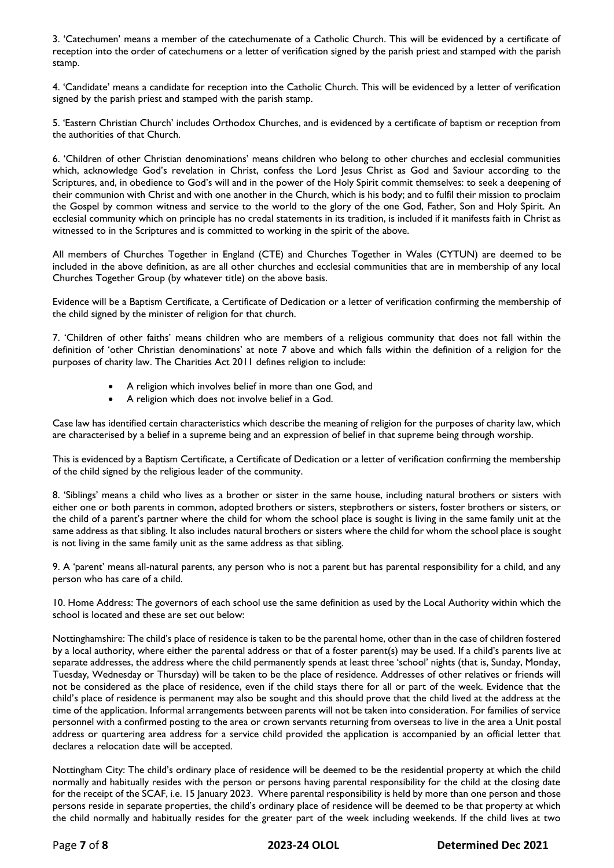3. 'Catechumen' means a member of the catechumenate of a Catholic Church. This will be evidenced by a certificate of reception into the order of catechumens or a letter of verification signed by the parish priest and stamped with the parish stamp.

4. 'Candidate' means a candidate for reception into the Catholic Church. This will be evidenced by a letter of verification signed by the parish priest and stamped with the parish stamp.

5. 'Eastern Christian Church' includes Orthodox Churches, and is evidenced by a certificate of baptism or reception from the authorities of that Church.

6. 'Children of other Christian denominations' means children who belong to other churches and ecclesial communities which, acknowledge God's revelation in Christ, confess the Lord Jesus Christ as God and Saviour according to the Scriptures, and, in obedience to God's will and in the power of the Holy Spirit commit themselves: to seek a deepening of their communion with Christ and with one another in the Church, which is his body; and to fulfil their mission to proclaim the Gospel by common witness and service to the world to the glory of the one God, Father, Son and Holy Spirit. An ecclesial community which on principle has no credal statements in its tradition, is included if it manifests faith in Christ as witnessed to in the Scriptures and is committed to working in the spirit of the above.

All members of Churches Together in England (CTE) and Churches Together in Wales (CYTUN) are deemed to be included in the above definition, as are all other churches and ecclesial communities that are in membership of any local Churches Together Group (by whatever title) on the above basis.

Evidence will be a Baptism Certificate, a Certificate of Dedication or a letter of verification confirming the membership of the child signed by the minister of religion for that church.

7. 'Children of other faiths' means children who are members of a religious community that does not fall within the definition of 'other Christian denominations' at note 7 above and which falls within the definition of a religion for the purposes of charity law. The Charities Act 2011 defines religion to include:

- A religion which involves belief in more than one God, and
- A religion which does not involve belief in a God.

Case law has identified certain characteristics which describe the meaning of religion for the purposes of charity law, which are characterised by a belief in a supreme being and an expression of belief in that supreme being through worship.

This is evidenced by a Baptism Certificate, a Certificate of Dedication or a letter of verification confirming the membership of the child signed by the religious leader of the community.

8. 'Siblings' means a child who lives as a brother or sister in the same house, including natural brothers or sisters with either one or both parents in common, adopted brothers or sisters, stepbrothers or sisters, foster brothers or sisters, or the child of a parent's partner where the child for whom the school place is sought is living in the same family unit at the same address as that sibling. It also includes natural brothers or sisters where the child for whom the school place is sought is not living in the same family unit as the same address as that sibling.

9. A 'parent' means all-natural parents, any person who is not a parent but has parental responsibility for a child, and any person who has care of a child.

10. Home Address: The governors of each school use the same definition as used by the Local Authority within which the school is located and these are set out below:

Nottinghamshire: The child's place of residence is taken to be the parental home, other than in the case of children fostered by a local authority, where either the parental address or that of a foster parent(s) may be used. If a child's parents live at separate addresses, the address where the child permanently spends at least three 'school' nights (that is, Sunday, Monday, Tuesday, Wednesday or Thursday) will be taken to be the place of residence. Addresses of other relatives or friends will not be considered as the place of residence, even if the child stays there for all or part of the week. Evidence that the child's place of residence is permanent may also be sought and this should prove that the child lived at the address at the time of the application. Informal arrangements between parents will not be taken into consideration. For families of service personnel with a confirmed posting to the area or crown servants returning from overseas to live in the area a Unit postal address or quartering area address for a service child provided the application is accompanied by an official letter that declares a relocation date will be accepted.

Nottingham City: The child's ordinary place of residence will be deemed to be the residential property at which the child normally and habitually resides with the person or persons having parental responsibility for the child at the closing date for the receipt of the SCAF, i.e. 15 January 2023. Where parental responsibility is held by more than one person and those persons reside in separate properties, the child's ordinary place of residence will be deemed to be that property at which the child normally and habitually resides for the greater part of the week including weekends. If the child lives at two